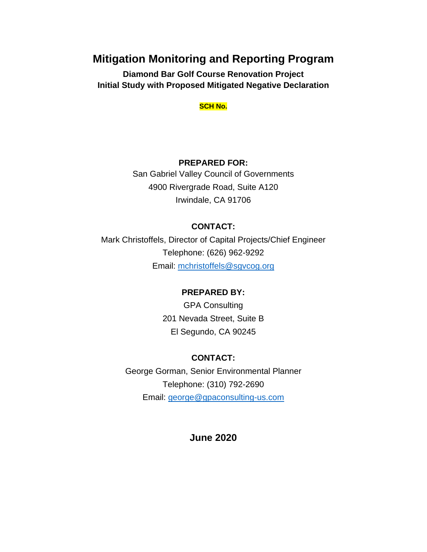# **Mitigation Monitoring and Reporting Program**

**Diamond Bar Golf Course Renovation Project Initial Study with Proposed Mitigated Negative Declaration**

#### **SCH No.**

## **PREPARED FOR:**

San Gabriel Valley Council of Governments 4900 Rivergrade Road, Suite A120 Irwindale, CA 91706

## **CONTACT:**

Mark Christoffels, Director of Capital Projects/Chief Engineer Telephone: (626) 962-9292 Email: [mchristoffels@sgvcog.org](mailto:mchristoffels@sgvcog.org)

## **PREPARED BY:**

GPA Consulting 201 Nevada Street, Suite B El Segundo, CA 90245

## **CONTACT:**

George Gorman, Senior Environmental Planner Telephone: (310) 792-2690 Email: [george@gpaconsulting-us.com](mailto:george@gpaconsulting-us.com)

## **June 2020**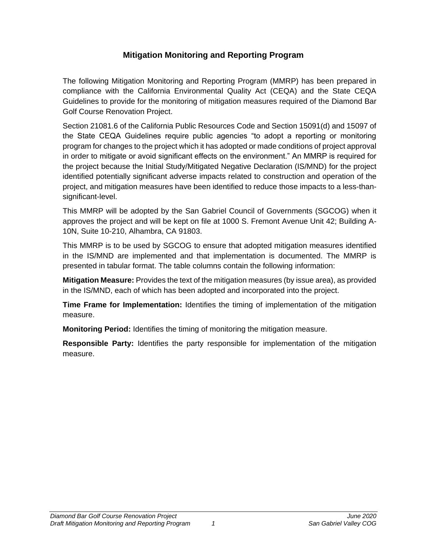# **Mitigation Monitoring and Reporting Program**

The following Mitigation Monitoring and Reporting Program (MMRP) has been prepared in compliance with the California Environmental Quality Act (CEQA) and the State CEQA Guidelines to provide for the monitoring of mitigation measures required of the Diamond Bar Golf Course Renovation Project.

Section 21081.6 of the California Public Resources Code and Section 15091(d) and 15097 of the State CEQA Guidelines require public agencies "to adopt a reporting or monitoring program for changes to the project which it has adopted or made conditions of project approval in order to mitigate or avoid significant effects on the environment." An MMRP is required for the project because the Initial Study/Mitigated Negative Declaration (IS/MND) for the project identified potentially significant adverse impacts related to construction and operation of the project, and mitigation measures have been identified to reduce those impacts to a less-thansignificant-level.

This MMRP will be adopted by the San Gabriel Council of Governments (SGCOG) when it approves the project and will be kept on file at 1000 S. Fremont Avenue Unit 42; Building A-10N, Suite 10-210, Alhambra, CA 91803.

This MMRP is to be used by SGCOG to ensure that adopted mitigation measures identified in the IS/MND are implemented and that implementation is documented. The MMRP is presented in tabular format. The table columns contain the following information:

**Mitigation Measure:** Provides the text of the mitigation measures (by issue area), as provided in the IS/MND, each of which has been adopted and incorporated into the project.

**Time Frame for Implementation:** Identifies the timing of implementation of the mitigation measure.

**Monitoring Period:** Identifies the timing of monitoring the mitigation measure.

**Responsible Party:** Identifies the party responsible for implementation of the mitigation measure.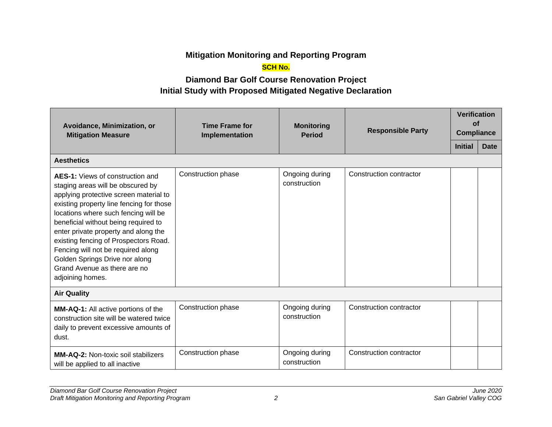# **Mitigation Monitoring and Reporting Program**

## **SCH No.**

# **Diamond Bar Golf Course Renovation Project Initial Study with Proposed Mitigated Negative Declaration**

| Avoidance, Minimization, or<br><b>Mitigation Measure</b>                                                                                                                                                                                                                                                                                                                                                                                                        | <b>Time Frame for</b><br>Implementation | <b>Monitoring</b><br><b>Period</b> | <b>Responsible Party</b> | <b>Verification</b><br>of<br><b>Compliance</b> |             |
|-----------------------------------------------------------------------------------------------------------------------------------------------------------------------------------------------------------------------------------------------------------------------------------------------------------------------------------------------------------------------------------------------------------------------------------------------------------------|-----------------------------------------|------------------------------------|--------------------------|------------------------------------------------|-------------|
|                                                                                                                                                                                                                                                                                                                                                                                                                                                                 |                                         |                                    |                          | <b>Initial</b>                                 | <b>Date</b> |
| <b>Aesthetics</b>                                                                                                                                                                                                                                                                                                                                                                                                                                               |                                         |                                    |                          |                                                |             |
| <b>AES-1:</b> Views of construction and<br>staging areas will be obscured by<br>applying protective screen material to<br>existing property line fencing for those<br>locations where such fencing will be<br>beneficial without being required to<br>enter private property and along the<br>existing fencing of Prospectors Road.<br>Fencing will not be required along<br>Golden Springs Drive nor along<br>Grand Avenue as there are no<br>adjoining homes. | Construction phase                      | Ongoing during<br>construction     | Construction contractor  |                                                |             |
| <b>Air Quality</b>                                                                                                                                                                                                                                                                                                                                                                                                                                              |                                         |                                    |                          |                                                |             |
| <b>MM-AQ-1:</b> All active portions of the<br>construction site will be watered twice<br>daily to prevent excessive amounts of<br>dust.                                                                                                                                                                                                                                                                                                                         | Construction phase                      | Ongoing during<br>construction     | Construction contractor  |                                                |             |
| <b>MM-AQ-2: Non-toxic soil stabilizers</b><br>will be applied to all inactive                                                                                                                                                                                                                                                                                                                                                                                   | Construction phase                      | Ongoing during<br>construction     | Construction contractor  |                                                |             |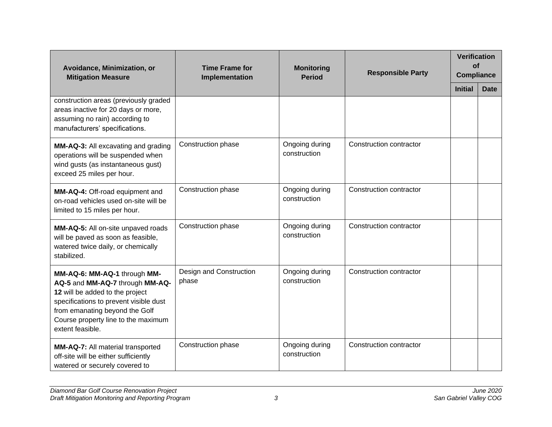| Avoidance, Minimization, or<br><b>Mitigation Measure</b>                                                                                                                                                                                  | <b>Time Frame for</b><br>Implementation | <b>Monitoring</b><br><b>Period</b> | <b>Responsible Party</b> | <b>Verification</b><br>of<br><b>Compliance</b> |             |
|-------------------------------------------------------------------------------------------------------------------------------------------------------------------------------------------------------------------------------------------|-----------------------------------------|------------------------------------|--------------------------|------------------------------------------------|-------------|
|                                                                                                                                                                                                                                           |                                         |                                    |                          | <b>Initial</b>                                 | <b>Date</b> |
| construction areas (previously graded<br>areas inactive for 20 days or more,<br>assuming no rain) according to<br>manufacturers' specifications.                                                                                          |                                         |                                    |                          |                                                |             |
| MM-AQ-3: All excavating and grading<br>operations will be suspended when<br>wind gusts (as instantaneous gust)<br>exceed 25 miles per hour.                                                                                               | Construction phase                      | Ongoing during<br>construction     | Construction contractor  |                                                |             |
| MM-AQ-4: Off-road equipment and<br>on-road vehicles used on-site will be<br>limited to 15 miles per hour.                                                                                                                                 | Construction phase                      | Ongoing during<br>construction     | Construction contractor  |                                                |             |
| MM-AQ-5: All on-site unpaved roads<br>will be paved as soon as feasible,<br>watered twice daily, or chemically<br>stabilized.                                                                                                             | Construction phase                      | Ongoing during<br>construction     | Construction contractor  |                                                |             |
| MM-AQ-6: MM-AQ-1 through MM-<br>AQ-5 and MM-AQ-7 through MM-AQ-<br>12 will be added to the project<br>specifications to prevent visible dust<br>from emanating beyond the Golf<br>Course property line to the maximum<br>extent feasible. | Design and Construction<br>phase        | Ongoing during<br>construction     | Construction contractor  |                                                |             |
| MM-AQ-7: All material transported<br>off-site will be either sufficiently<br>watered or securely covered to                                                                                                                               | Construction phase                      | Ongoing during<br>construction     | Construction contractor  |                                                |             |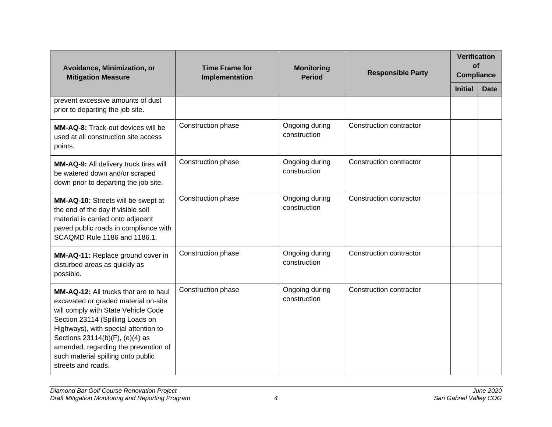| Avoidance, Minimization, or<br><b>Mitigation Measure</b>                                                                                                                                                                                                                                                                                       | <b>Time Frame for</b><br>Implementation | <b>Monitoring</b><br><b>Period</b> | <b>Responsible Party</b>       | <b>Verification</b><br><b>of</b><br><b>Compliance</b> |             |  |
|------------------------------------------------------------------------------------------------------------------------------------------------------------------------------------------------------------------------------------------------------------------------------------------------------------------------------------------------|-----------------------------------------|------------------------------------|--------------------------------|-------------------------------------------------------|-------------|--|
|                                                                                                                                                                                                                                                                                                                                                |                                         |                                    |                                | <b>Initial</b>                                        | <b>Date</b> |  |
| prevent excessive amounts of dust<br>prior to departing the job site.                                                                                                                                                                                                                                                                          |                                         |                                    |                                |                                                       |             |  |
| <b>MM-AQ-8:</b> Track-out devices will be<br>used at all construction site access<br>points.                                                                                                                                                                                                                                                   | Construction phase                      | Ongoing during<br>construction     | <b>Construction contractor</b> |                                                       |             |  |
| MM-AQ-9: All delivery truck tires will<br>be watered down and/or scraped<br>down prior to departing the job site.                                                                                                                                                                                                                              | Construction phase                      | Ongoing during<br>construction     | Construction contractor        |                                                       |             |  |
| MM-AQ-10: Streets will be swept at<br>the end of the day if visible soil<br>material is carried onto adjacent<br>paved public roads in compliance with<br>SCAQMD Rule 1186 and 1186.1.                                                                                                                                                         | Construction phase                      | Ongoing during<br>construction     | Construction contractor        |                                                       |             |  |
| MM-AQ-11: Replace ground cover in<br>disturbed areas as quickly as<br>possible.                                                                                                                                                                                                                                                                | Construction phase                      | Ongoing during<br>construction     | Construction contractor        |                                                       |             |  |
| <b>MM-AQ-12:</b> All trucks that are to haul<br>excavated or graded material on-site<br>will comply with State Vehicle Code<br>Section 23114 (Spilling Loads on<br>Highways), with special attention to<br>Sections 23114(b)(F), (e)(4) as<br>amended, regarding the prevention of<br>such material spilling onto public<br>streets and roads. | Construction phase                      | Ongoing during<br>construction     | Construction contractor        |                                                       |             |  |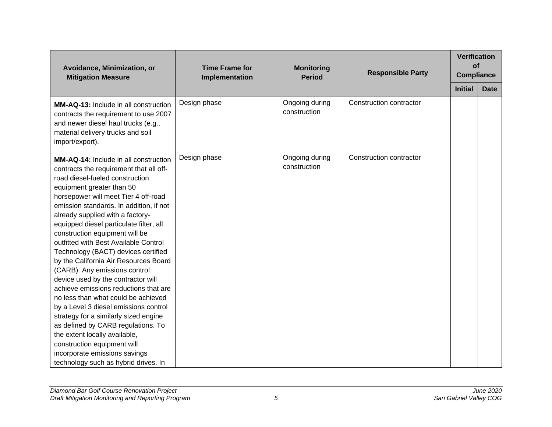| Avoidance, Minimization, or<br><b>Mitigation Measure</b>                                                                                                                                                                                                                                                                                                                                                                                                                                                                                                                                                                                                                                                                                                                                                                                                                                              | <b>Time Frame for</b><br>Implementation | <b>Monitoring</b><br><b>Period</b> |                         | <b>Responsible Party</b> |             | <b>Verification</b><br><b>of</b><br><b>Compliance</b> |  |
|-------------------------------------------------------------------------------------------------------------------------------------------------------------------------------------------------------------------------------------------------------------------------------------------------------------------------------------------------------------------------------------------------------------------------------------------------------------------------------------------------------------------------------------------------------------------------------------------------------------------------------------------------------------------------------------------------------------------------------------------------------------------------------------------------------------------------------------------------------------------------------------------------------|-----------------------------------------|------------------------------------|-------------------------|--------------------------|-------------|-------------------------------------------------------|--|
|                                                                                                                                                                                                                                                                                                                                                                                                                                                                                                                                                                                                                                                                                                                                                                                                                                                                                                       |                                         |                                    |                         | <b>Initial</b>           | <b>Date</b> |                                                       |  |
| MM-AQ-13: Include in all construction<br>contracts the requirement to use 2007<br>and newer diesel haul trucks (e.g.,<br>material delivery trucks and soil<br>import/export).                                                                                                                                                                                                                                                                                                                                                                                                                                                                                                                                                                                                                                                                                                                         | Design phase                            | Ongoing during<br>construction     | Construction contractor |                          |             |                                                       |  |
| MM-AQ-14: Include in all construction<br>contracts the requirement that all off-<br>road diesel-fueled construction<br>equipment greater than 50<br>horsepower will meet Tier 4 off-road<br>emission standards. In addition, if not<br>already supplied with a factory-<br>equipped diesel particulate filter, all<br>construction equipment will be<br>outfitted with Best Available Control<br>Technology (BACT) devices certified<br>by the California Air Resources Board<br>(CARB). Any emissions control<br>device used by the contractor will<br>achieve emissions reductions that are<br>no less than what could be achieved<br>by a Level 3 diesel emissions control<br>strategy for a similarly sized engine<br>as defined by CARB regulations. To<br>the extent locally available,<br>construction equipment will<br>incorporate emissions savings<br>technology such as hybrid drives. In | Design phase                            | Ongoing during<br>construction     | Construction contractor |                          |             |                                                       |  |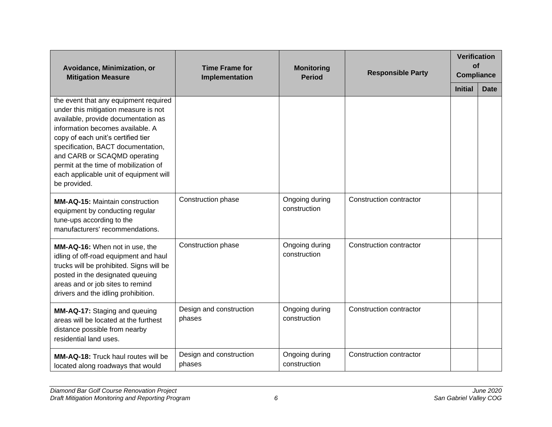| Avoidance, Minimization, or<br><b>Mitigation Measure</b>                                                                                                                                                                                                                                                                                                                | <b>Time Frame for</b><br>Implementation | <b>Monitoring</b><br><b>Period</b> | <b>Responsible Party</b> | <b>Verification</b><br>of<br><b>Compliance</b> |             |
|-------------------------------------------------------------------------------------------------------------------------------------------------------------------------------------------------------------------------------------------------------------------------------------------------------------------------------------------------------------------------|-----------------------------------------|------------------------------------|--------------------------|------------------------------------------------|-------------|
|                                                                                                                                                                                                                                                                                                                                                                         |                                         |                                    |                          | <b>Initial</b>                                 | <b>Date</b> |
| the event that any equipment required<br>under this mitigation measure is not<br>available, provide documentation as<br>information becomes available. A<br>copy of each unit's certified tier<br>specification, BACT documentation,<br>and CARB or SCAQMD operating<br>permit at the time of mobilization of<br>each applicable unit of equipment will<br>be provided. |                                         |                                    |                          |                                                |             |
| <b>MM-AQ-15: Maintain construction</b><br>equipment by conducting regular<br>tune-ups according to the<br>manufacturers' recommendations.                                                                                                                                                                                                                               | Construction phase                      | Ongoing during<br>construction     | Construction contractor  |                                                |             |
| MM-AQ-16: When not in use, the<br>idling of off-road equipment and haul<br>trucks will be prohibited. Signs will be<br>posted in the designated queuing<br>areas and or job sites to remind<br>drivers and the idling prohibition.                                                                                                                                      | Construction phase                      | Ongoing during<br>construction     | Construction contractor  |                                                |             |
| MM-AQ-17: Staging and queuing<br>areas will be located at the furthest<br>distance possible from nearby<br>residential land uses.                                                                                                                                                                                                                                       | Design and construction<br>phases       | Ongoing during<br>construction     | Construction contractor  |                                                |             |
| <b>MM-AQ-18:</b> Truck haul routes will be<br>located along roadways that would                                                                                                                                                                                                                                                                                         | Design and construction<br>phases       | Ongoing during<br>construction     | Construction contractor  |                                                |             |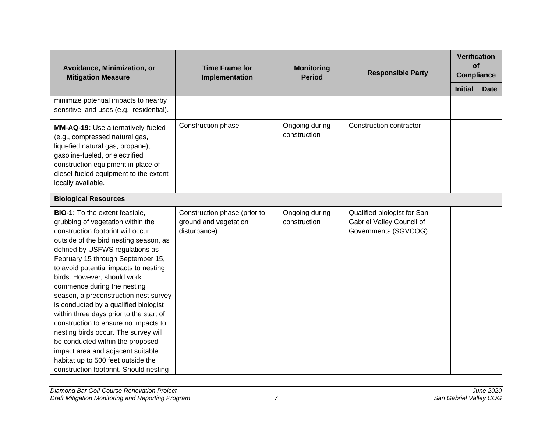| Avoidance, Minimization, or<br><b>Mitigation Measure</b>                                                                                                                                                                                                                                                                                                                                                                                                                                                                                                                                                                                                                                                       | <b>Time Frame for</b><br>Implementation                               | <b>Monitoring</b><br><b>Period</b> | <b>Responsible Party</b>                                                         | <b>Verification</b><br><b>of</b><br><b>Compliance</b> |             |
|----------------------------------------------------------------------------------------------------------------------------------------------------------------------------------------------------------------------------------------------------------------------------------------------------------------------------------------------------------------------------------------------------------------------------------------------------------------------------------------------------------------------------------------------------------------------------------------------------------------------------------------------------------------------------------------------------------------|-----------------------------------------------------------------------|------------------------------------|----------------------------------------------------------------------------------|-------------------------------------------------------|-------------|
|                                                                                                                                                                                                                                                                                                                                                                                                                                                                                                                                                                                                                                                                                                                |                                                                       |                                    |                                                                                  | <b>Initial</b>                                        | <b>Date</b> |
| minimize potential impacts to nearby<br>sensitive land uses (e.g., residential).                                                                                                                                                                                                                                                                                                                                                                                                                                                                                                                                                                                                                               |                                                                       |                                    |                                                                                  |                                                       |             |
| MM-AQ-19: Use alternatively-fueled<br>(e.g., compressed natural gas,<br>liquefied natural gas, propane),<br>gasoline-fueled, or electrified<br>construction equipment in place of<br>diesel-fueled equipment to the extent<br>locally available.                                                                                                                                                                                                                                                                                                                                                                                                                                                               | Construction phase                                                    | Ongoing during<br>construction     | Construction contractor                                                          |                                                       |             |
| <b>Biological Resources</b>                                                                                                                                                                                                                                                                                                                                                                                                                                                                                                                                                                                                                                                                                    |                                                                       |                                    |                                                                                  |                                                       |             |
| <b>BIO-1:</b> To the extent feasible,<br>grubbing of vegetation within the<br>construction footprint will occur<br>outside of the bird nesting season, as<br>defined by USFWS regulations as<br>February 15 through September 15,<br>to avoid potential impacts to nesting<br>birds. However, should work<br>commence during the nesting<br>season, a preconstruction nest survey<br>is conducted by a qualified biologist<br>within three days prior to the start of<br>construction to ensure no impacts to<br>nesting birds occur. The survey will<br>be conducted within the proposed<br>impact area and adjacent suitable<br>habitat up to 500 feet outside the<br>construction footprint. Should nesting | Construction phase (prior to<br>ground and vegetation<br>disturbance) | Ongoing during<br>construction     | Qualified biologist for San<br>Gabriel Valley Council of<br>Governments (SGVCOG) |                                                       |             |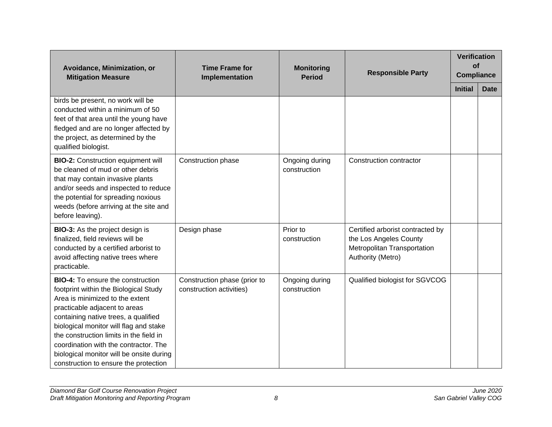| Avoidance, Minimization, or<br><b>Mitigation Measure</b>                                                                                                                                                                                                                                                                                                                                                         | <b>Time Frame for</b><br>Implementation                  | <b>Monitoring</b><br><b>Period</b> | <b>Responsible Party</b>                                                                                       | <b>Verification</b><br><b>of</b><br><b>Compliance</b> |             |
|------------------------------------------------------------------------------------------------------------------------------------------------------------------------------------------------------------------------------------------------------------------------------------------------------------------------------------------------------------------------------------------------------------------|----------------------------------------------------------|------------------------------------|----------------------------------------------------------------------------------------------------------------|-------------------------------------------------------|-------------|
|                                                                                                                                                                                                                                                                                                                                                                                                                  |                                                          |                                    |                                                                                                                | <b>Initial</b>                                        | <b>Date</b> |
| birds be present, no work will be<br>conducted within a minimum of 50<br>feet of that area until the young have<br>fledged and are no longer affected by<br>the project, as determined by the<br>qualified biologist.                                                                                                                                                                                            |                                                          |                                    |                                                                                                                |                                                       |             |
| <b>BIO-2:</b> Construction equipment will<br>be cleaned of mud or other debris<br>that may contain invasive plants<br>and/or seeds and inspected to reduce<br>the potential for spreading noxious<br>weeds (before arriving at the site and<br>before leaving).                                                                                                                                                  | Construction phase                                       | Ongoing during<br>construction     | Construction contractor                                                                                        |                                                       |             |
| <b>BIO-3:</b> As the project design is<br>finalized, field reviews will be<br>conducted by a certified arborist to<br>avoid affecting native trees where<br>practicable.                                                                                                                                                                                                                                         | Design phase                                             | Prior to<br>construction           | Certified arborist contracted by<br>the Los Angeles County<br>Metropolitan Transportation<br>Authority (Metro) |                                                       |             |
| <b>BIO-4:</b> To ensure the construction<br>footprint within the Biological Study<br>Area is minimized to the extent<br>practicable adjacent to areas<br>containing native trees, a qualified<br>biological monitor will flag and stake<br>the construction limits in the field in<br>coordination with the contractor. The<br>biological monitor will be onsite during<br>construction to ensure the protection | Construction phase (prior to<br>construction activities) | Ongoing during<br>construction     | Qualified biologist for SGVCOG                                                                                 |                                                       |             |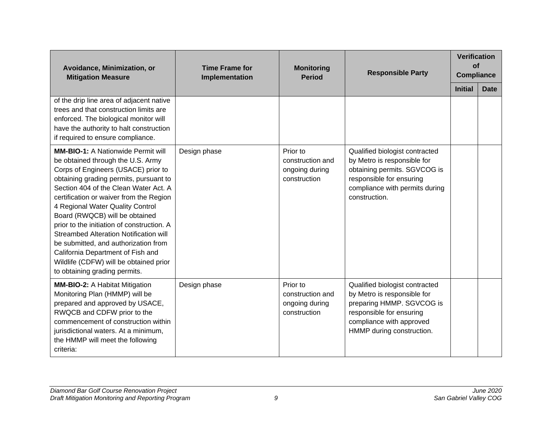| Avoidance, Minimization, or<br><b>Mitigation Measure</b>                                                                                                                                                                                                                                                                                                                                                                                                                                                                                                                         | <b>Time Frame for</b><br>Implementation | <b>Monitoring</b><br><b>Period</b>                             | <b>Responsible Party</b>                                                                                                                                                        | <b>Verification</b><br><b>of</b><br><b>Compliance</b> |             |
|----------------------------------------------------------------------------------------------------------------------------------------------------------------------------------------------------------------------------------------------------------------------------------------------------------------------------------------------------------------------------------------------------------------------------------------------------------------------------------------------------------------------------------------------------------------------------------|-----------------------------------------|----------------------------------------------------------------|---------------------------------------------------------------------------------------------------------------------------------------------------------------------------------|-------------------------------------------------------|-------------|
|                                                                                                                                                                                                                                                                                                                                                                                                                                                                                                                                                                                  |                                         |                                                                |                                                                                                                                                                                 | <b>Initial</b>                                        | <b>Date</b> |
| of the drip line area of adjacent native<br>trees and that construction limits are<br>enforced. The biological monitor will<br>have the authority to halt construction<br>if required to ensure compliance.                                                                                                                                                                                                                                                                                                                                                                      |                                         |                                                                |                                                                                                                                                                                 |                                                       |             |
| <b>MM-BIO-1: A Nationwide Permit will</b><br>be obtained through the U.S. Army<br>Corps of Engineers (USACE) prior to<br>obtaining grading permits, pursuant to<br>Section 404 of the Clean Water Act. A<br>certification or waiver from the Region<br>4 Regional Water Quality Control<br>Board (RWQCB) will be obtained<br>prior to the initiation of construction. A<br><b>Streambed Alteration Notification will</b><br>be submitted, and authorization from<br>California Department of Fish and<br>Wildlife (CDFW) will be obtained prior<br>to obtaining grading permits. | Design phase                            | Prior to<br>construction and<br>ongoing during<br>construction | Qualified biologist contracted<br>by Metro is responsible for<br>obtaining permits. SGVCOG is<br>responsible for ensuring<br>compliance with permits during<br>construction.    |                                                       |             |
| <b>MM-BIO-2: A Habitat Mitigation</b><br>Monitoring Plan (HMMP) will be<br>prepared and approved by USACE,<br>RWQCB and CDFW prior to the<br>commencement of construction within<br>jurisdictional waters. At a minimum,<br>the HMMP will meet the following<br>criteria:                                                                                                                                                                                                                                                                                                        | Design phase                            | Prior to<br>construction and<br>ongoing during<br>construction | Qualified biologist contracted<br>by Metro is responsible for<br>preparing HMMP. SGVCOG is<br>responsible for ensuring<br>compliance with approved<br>HMMP during construction. |                                                       |             |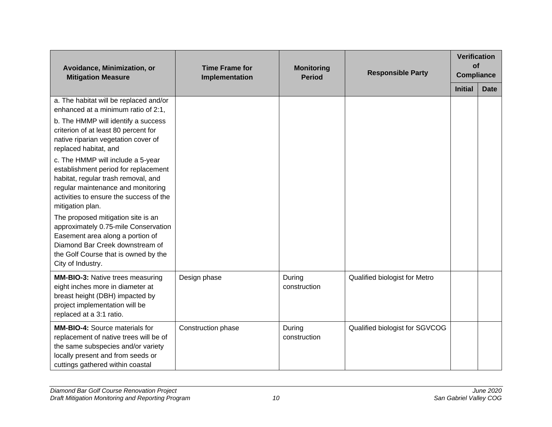| Avoidance, Minimization, or<br><b>Mitigation Measure</b>                                                                                                                                                                                                                                                                                                                                                                                                                                                                                                                                                                                                                | <b>Time Frame for</b><br>Implementation | <b>Monitoring</b><br><b>Period</b> | <b>Responsible Party</b>       | <b>Verification</b><br><b>of</b><br><b>Compliance</b> |             |
|-------------------------------------------------------------------------------------------------------------------------------------------------------------------------------------------------------------------------------------------------------------------------------------------------------------------------------------------------------------------------------------------------------------------------------------------------------------------------------------------------------------------------------------------------------------------------------------------------------------------------------------------------------------------------|-----------------------------------------|------------------------------------|--------------------------------|-------------------------------------------------------|-------------|
|                                                                                                                                                                                                                                                                                                                                                                                                                                                                                                                                                                                                                                                                         |                                         |                                    |                                | <b>Initial</b>                                        | <b>Date</b> |
| a. The habitat will be replaced and/or<br>enhanced at a minimum ratio of 2:1,<br>b. The HMMP will identify a success<br>criterion of at least 80 percent for<br>native riparian vegetation cover of<br>replaced habitat, and<br>c. The HMMP will include a 5-year<br>establishment period for replacement<br>habitat, regular trash removal, and<br>regular maintenance and monitoring<br>activities to ensure the success of the<br>mitigation plan.<br>The proposed mitigation site is an<br>approximately 0.75-mile Conservation<br>Easement area along a portion of<br>Diamond Bar Creek downstream of<br>the Golf Course that is owned by the<br>City of Industry. |                                         |                                    |                                |                                                       |             |
| <b>MM-BIO-3: Native trees measuring</b><br>eight inches more in diameter at<br>breast height (DBH) impacted by<br>project implementation will be<br>replaced at a 3:1 ratio.                                                                                                                                                                                                                                                                                                                                                                                                                                                                                            | Design phase                            | During<br>construction             | Qualified biologist for Metro  |                                                       |             |
| <b>MM-BIO-4:</b> Source materials for<br>replacement of native trees will be of<br>the same subspecies and/or variety<br>locally present and from seeds or<br>cuttings gathered within coastal                                                                                                                                                                                                                                                                                                                                                                                                                                                                          | Construction phase                      | During<br>construction             | Qualified biologist for SGVCOG |                                                       |             |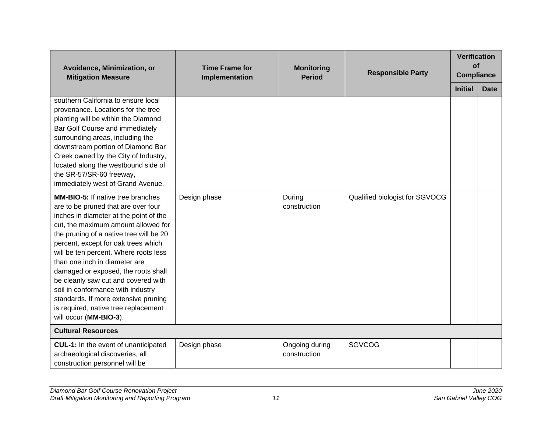| Avoidance, Minimization, or<br><b>Mitigation Measure</b>                                                                                                                                                                                                                                                                                                                                                                                                                                                                                                  | <b>Time Frame for</b><br>Implementation | <b>Monitoring</b><br><b>Period</b> | <b>Responsible Party</b>       | <b>Verification</b><br>of<br><b>Compliance</b> |             |
|-----------------------------------------------------------------------------------------------------------------------------------------------------------------------------------------------------------------------------------------------------------------------------------------------------------------------------------------------------------------------------------------------------------------------------------------------------------------------------------------------------------------------------------------------------------|-----------------------------------------|------------------------------------|--------------------------------|------------------------------------------------|-------------|
|                                                                                                                                                                                                                                                                                                                                                                                                                                                                                                                                                           |                                         |                                    |                                | <b>Initial</b>                                 | <b>Date</b> |
| southern California to ensure local<br>provenance. Locations for the tree<br>planting will be within the Diamond<br>Bar Golf Course and immediately<br>surrounding areas, including the<br>downstream portion of Diamond Bar<br>Creek owned by the City of Industry,<br>located along the westbound side of<br>the SR-57/SR-60 freeway,<br>immediately west of Grand Avenue.                                                                                                                                                                              |                                         |                                    |                                |                                                |             |
| <b>MM-BIO-5:</b> If native tree branches<br>are to be pruned that are over four<br>inches in diameter at the point of the<br>cut, the maximum amount allowed for<br>the pruning of a native tree will be 20<br>percent, except for oak trees which<br>will be ten percent. Where roots less<br>than one inch in diameter are<br>damaged or exposed, the roots shall<br>be cleanly saw cut and covered with<br>soil in conformance with industry<br>standards. If more extensive pruning<br>is required, native tree replacement<br>will occur (MM-BIO-3). | Design phase                            | During<br>construction             | Qualified biologist for SGVOCG |                                                |             |
| <b>Cultural Resources</b>                                                                                                                                                                                                                                                                                                                                                                                                                                                                                                                                 |                                         |                                    |                                |                                                |             |
| CUL-1: In the event of unanticipated<br>archaeological discoveries, all<br>construction personnel will be                                                                                                                                                                                                                                                                                                                                                                                                                                                 | Design phase                            | Ongoing during<br>construction     | <b>SGVCOG</b>                  |                                                |             |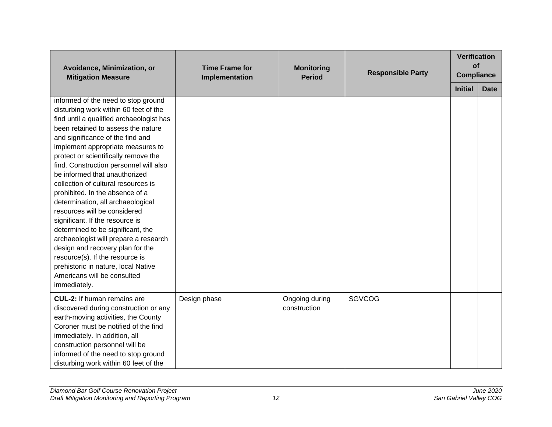| Avoidance, Minimization, or<br><b>Mitigation Measure</b>                                                                                                                                                                                                                                                                                                                                                                                                                                                                                                                                                                                                                                                                                                                                | <b>Time Frame for</b><br>Implementation | <b>Monitoring</b><br><b>Period</b> | <b>Responsible Party</b> | <b>Verification</b><br>of<br><b>Compliance</b> |             |
|-----------------------------------------------------------------------------------------------------------------------------------------------------------------------------------------------------------------------------------------------------------------------------------------------------------------------------------------------------------------------------------------------------------------------------------------------------------------------------------------------------------------------------------------------------------------------------------------------------------------------------------------------------------------------------------------------------------------------------------------------------------------------------------------|-----------------------------------------|------------------------------------|--------------------------|------------------------------------------------|-------------|
|                                                                                                                                                                                                                                                                                                                                                                                                                                                                                                                                                                                                                                                                                                                                                                                         |                                         |                                    |                          | <b>Initial</b>                                 | <b>Date</b> |
| informed of the need to stop ground<br>disturbing work within 60 feet of the<br>find until a qualified archaeologist has<br>been retained to assess the nature<br>and significance of the find and<br>implement appropriate measures to<br>protect or scientifically remove the<br>find. Construction personnel will also<br>be informed that unauthorized<br>collection of cultural resources is<br>prohibited. In the absence of a<br>determination, all archaeological<br>resources will be considered<br>significant. If the resource is<br>determined to be significant, the<br>archaeologist will prepare a research<br>design and recovery plan for the<br>resource(s). If the resource is<br>prehistoric in nature, local Native<br>Americans will be consulted<br>immediately. |                                         |                                    |                          |                                                |             |
| <b>CUL-2:</b> If human remains are<br>discovered during construction or any<br>earth-moving activities, the County<br>Coroner must be notified of the find<br>immediately. In addition, all<br>construction personnel will be<br>informed of the need to stop ground<br>disturbing work within 60 feet of the                                                                                                                                                                                                                                                                                                                                                                                                                                                                           | Design phase                            | Ongoing during<br>construction     | <b>SGVCOG</b>            |                                                |             |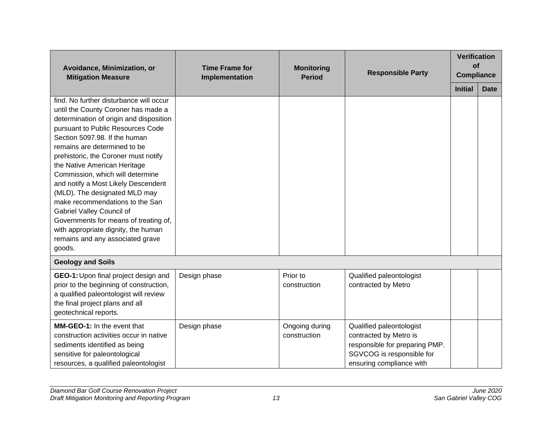| Avoidance, Minimization, or<br><b>Mitigation Measure</b>                                                                                                                                                                                                                                                                                                                                                                                                                                                                                                                                                          | <b>Time Frame for</b><br>Implementation | <b>Monitoring</b><br><b>Period</b> | <b>Responsible Party</b>                                                                                                                      | <b>Verification</b><br>of<br><b>Compliance</b> |             |
|-------------------------------------------------------------------------------------------------------------------------------------------------------------------------------------------------------------------------------------------------------------------------------------------------------------------------------------------------------------------------------------------------------------------------------------------------------------------------------------------------------------------------------------------------------------------------------------------------------------------|-----------------------------------------|------------------------------------|-----------------------------------------------------------------------------------------------------------------------------------------------|------------------------------------------------|-------------|
|                                                                                                                                                                                                                                                                                                                                                                                                                                                                                                                                                                                                                   |                                         |                                    |                                                                                                                                               | <b>Initial</b>                                 | <b>Date</b> |
| find. No further disturbance will occur<br>until the County Coroner has made a<br>determination of origin and disposition<br>pursuant to Public Resources Code<br>Section 5097.98. If the human<br>remains are determined to be<br>prehistoric, the Coroner must notify<br>the Native American Heritage<br>Commission, which will determine<br>and notify a Most Likely Descendent<br>(MLD). The designated MLD may<br>make recommendations to the San<br>Gabriel Valley Council of<br>Governments for means of treating of,<br>with appropriate dignity, the human<br>remains and any associated grave<br>goods. |                                         |                                    |                                                                                                                                               |                                                |             |
| <b>Geology and Soils</b>                                                                                                                                                                                                                                                                                                                                                                                                                                                                                                                                                                                          |                                         |                                    |                                                                                                                                               |                                                |             |
| GEO-1: Upon final project design and<br>prior to the beginning of construction,<br>a qualified paleontologist will review<br>the final project plans and all<br>geotechnical reports.                                                                                                                                                                                                                                                                                                                                                                                                                             | Design phase                            | Prior to<br>construction           | Qualified paleontologist<br>contracted by Metro                                                                                               |                                                |             |
| MM-GEO-1: In the event that<br>construction activities occur in native<br>sediments identified as being<br>sensitive for paleontological<br>resources, a qualified paleontologist                                                                                                                                                                                                                                                                                                                                                                                                                                 | Design phase                            | Ongoing during<br>construction     | Qualified paleontologist<br>contracted by Metro is<br>responsible for preparing PMP.<br>SGVCOG is responsible for<br>ensuring compliance with |                                                |             |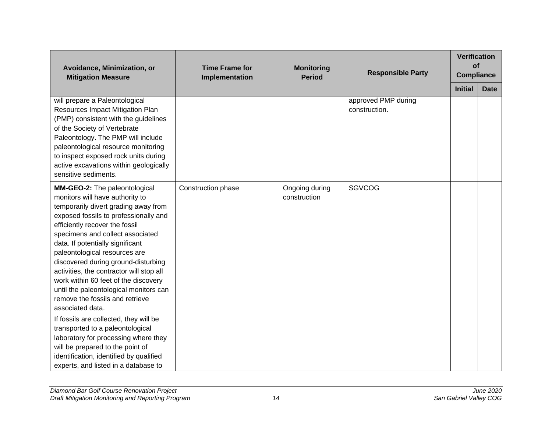| Avoidance, Minimization, or<br><b>Mitigation Measure</b>                                                                                                                                                                                                                                                                                                                                                                                                                                                                 | <b>Time Frame for</b><br>Implementation | <b>Monitoring</b><br><b>Period</b> | <b>Responsible Party</b>             | <b>Verification</b><br>of<br><b>Compliance</b> |             |
|--------------------------------------------------------------------------------------------------------------------------------------------------------------------------------------------------------------------------------------------------------------------------------------------------------------------------------------------------------------------------------------------------------------------------------------------------------------------------------------------------------------------------|-----------------------------------------|------------------------------------|--------------------------------------|------------------------------------------------|-------------|
|                                                                                                                                                                                                                                                                                                                                                                                                                                                                                                                          |                                         |                                    |                                      | <b>Initial</b>                                 | <b>Date</b> |
| will prepare a Paleontological<br>Resources Impact Mitigation Plan<br>(PMP) consistent with the guidelines<br>of the Society of Vertebrate<br>Paleontology. The PMP will include<br>paleontological resource monitoring<br>to inspect exposed rock units during<br>active excavations within geologically<br>sensitive sediments.                                                                                                                                                                                        |                                         |                                    | approved PMP during<br>construction. |                                                |             |
| MM-GEO-2: The paleontological<br>monitors will have authority to<br>temporarily divert grading away from<br>exposed fossils to professionally and<br>efficiently recover the fossil<br>specimens and collect associated<br>data. If potentially significant<br>paleontological resources are<br>discovered during ground-disturbing<br>activities, the contractor will stop all<br>work within 60 feet of the discovery<br>until the paleontological monitors can<br>remove the fossils and retrieve<br>associated data. | Construction phase                      | Ongoing during<br>construction     | <b>SGVCOG</b>                        |                                                |             |
| If fossils are collected, they will be<br>transported to a paleontological<br>laboratory for processing where they<br>will be prepared to the point of<br>identification, identified by qualified<br>experts, and listed in a database to                                                                                                                                                                                                                                                                                |                                         |                                    |                                      |                                                |             |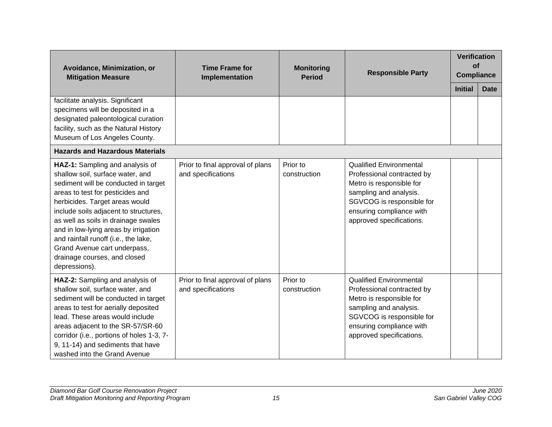| Avoidance, Minimization, or<br><b>Mitigation Measure</b>                                                                                                                                                                                                                                                                                                                                                                           | <b>Time Frame for</b><br>Implementation                | <b>Monitoring</b><br><b>Period</b> | <b>Responsible Party</b>                                                                                                                                                                                | <b>Verification</b><br>of<br><b>Compliance</b> |             |
|------------------------------------------------------------------------------------------------------------------------------------------------------------------------------------------------------------------------------------------------------------------------------------------------------------------------------------------------------------------------------------------------------------------------------------|--------------------------------------------------------|------------------------------------|---------------------------------------------------------------------------------------------------------------------------------------------------------------------------------------------------------|------------------------------------------------|-------------|
| facilitate analysis. Significant<br>specimens will be deposited in a<br>designated paleontological curation<br>facility, such as the Natural History<br>Museum of Los Angeles County.                                                                                                                                                                                                                                              |                                                        |                                    |                                                                                                                                                                                                         | <b>Initial</b>                                 | <b>Date</b> |
| <b>Hazards and Hazardous Materials</b>                                                                                                                                                                                                                                                                                                                                                                                             |                                                        |                                    |                                                                                                                                                                                                         |                                                |             |
| HAZ-1: Sampling and analysis of<br>shallow soil, surface water, and<br>sediment will be conducted in target<br>areas to test for pesticides and<br>herbicides. Target areas would<br>include soils adjacent to structures,<br>as well as soils in drainage swales<br>and in low-lying areas by irrigation<br>and rainfall runoff (i.e., the lake,<br>Grand Avenue cart underpass,<br>drainage courses, and closed<br>depressions). | Prior to final approval of plans<br>and specifications | Prior to<br>construction           | <b>Qualified Environmental</b><br>Professional contracted by<br>Metro is responsible for<br>sampling and analysis.<br>SGVCOG is responsible for<br>ensuring compliance with<br>approved specifications. |                                                |             |
| HAZ-2: Sampling and analysis of<br>shallow soil, surface water, and<br>sediment will be conducted in target<br>areas to test for aerially deposited<br>lead. These areas would include<br>areas adjacent to the SR-57/SR-60<br>corridor (i.e., portions of holes 1-3, 7-<br>9, 11-14) and sediments that have<br>washed into the Grand Avenue                                                                                      | Prior to final approval of plans<br>and specifications | Prior to<br>construction           | <b>Qualified Environmental</b><br>Professional contracted by<br>Metro is responsible for<br>sampling and analysis.<br>SGVCOG is responsible for<br>ensuring compliance with<br>approved specifications. |                                                |             |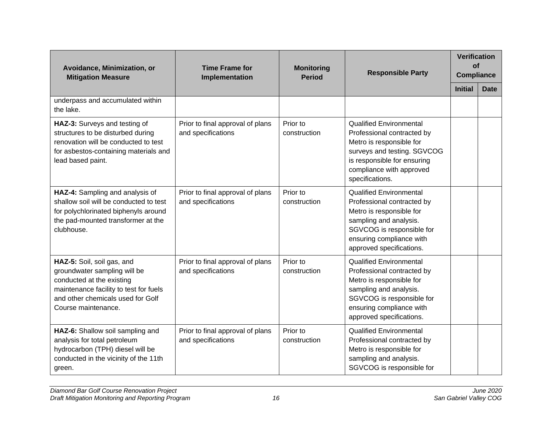| Avoidance, Minimization, or<br><b>Mitigation Measure</b>                                                                                                                                      | <b>Time Frame for</b><br>Implementation                | <b>Monitoring</b><br><b>Period</b> | <b>Responsible Party</b>                                                                                                                                                                                | <b>Verification</b><br><b>of</b><br><b>Compliance</b> |             |
|-----------------------------------------------------------------------------------------------------------------------------------------------------------------------------------------------|--------------------------------------------------------|------------------------------------|---------------------------------------------------------------------------------------------------------------------------------------------------------------------------------------------------------|-------------------------------------------------------|-------------|
|                                                                                                                                                                                               |                                                        |                                    |                                                                                                                                                                                                         | <b>Initial</b>                                        | <b>Date</b> |
| underpass and accumulated within<br>the lake.                                                                                                                                                 |                                                        |                                    |                                                                                                                                                                                                         |                                                       |             |
| HAZ-3: Surveys and testing of<br>structures to be disturbed during<br>renovation will be conducted to test<br>for asbestos-containing materials and<br>lead based paint.                      | Prior to final approval of plans<br>and specifications | Prior to<br>construction           | <b>Qualified Environmental</b><br>Professional contracted by<br>Metro is responsible for<br>surveys and testing. SGVCOG<br>is responsible for ensuring<br>compliance with approved<br>specifications.   |                                                       |             |
| HAZ-4: Sampling and analysis of<br>shallow soil will be conducted to test<br>for polychlorinated biphenyls around<br>the pad-mounted transformer at the<br>clubhouse.                         | Prior to final approval of plans<br>and specifications | Prior to<br>construction           | <b>Qualified Environmental</b><br>Professional contracted by<br>Metro is responsible for<br>sampling and analysis.<br>SGVCOG is responsible for<br>ensuring compliance with<br>approved specifications. |                                                       |             |
| HAZ-5: Soil, soil gas, and<br>groundwater sampling will be<br>conducted at the existing<br>maintenance facility to test for fuels<br>and other chemicals used for Golf<br>Course maintenance. | Prior to final approval of plans<br>and specifications | Prior to<br>construction           | <b>Qualified Environmental</b><br>Professional contracted by<br>Metro is responsible for<br>sampling and analysis.<br>SGVCOG is responsible for<br>ensuring compliance with<br>approved specifications. |                                                       |             |
| HAZ-6: Shallow soil sampling and<br>analysis for total petroleum<br>hydrocarbon (TPH) diesel will be<br>conducted in the vicinity of the 11th<br>green.                                       | Prior to final approval of plans<br>and specifications | Prior to<br>construction           | <b>Qualified Environmental</b><br>Professional contracted by<br>Metro is responsible for<br>sampling and analysis.<br>SGVCOG is responsible for                                                         |                                                       |             |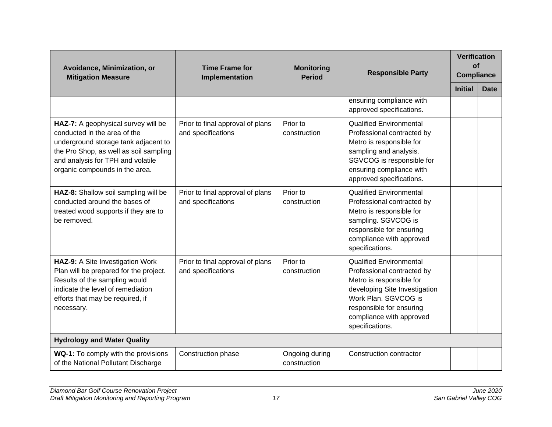| Avoidance, Minimization, or<br><b>Mitigation Measure</b>                                                                                                                                                                     | <b>Time Frame for</b><br>Implementation                | <b>Monitoring</b><br><b>Period</b> | <b>Responsible Party</b>                                                                                                                                                                                                     | Verification<br>of<br><b>Compliance</b> |             |
|------------------------------------------------------------------------------------------------------------------------------------------------------------------------------------------------------------------------------|--------------------------------------------------------|------------------------------------|------------------------------------------------------------------------------------------------------------------------------------------------------------------------------------------------------------------------------|-----------------------------------------|-------------|
|                                                                                                                                                                                                                              |                                                        |                                    |                                                                                                                                                                                                                              | <b>Initial</b>                          | <b>Date</b> |
|                                                                                                                                                                                                                              |                                                        |                                    | ensuring compliance with<br>approved specifications.                                                                                                                                                                         |                                         |             |
| HAZ-7: A geophysical survey will be<br>conducted in the area of the<br>underground storage tank adjacent to<br>the Pro Shop, as well as soil sampling<br>and analysis for TPH and volatile<br>organic compounds in the area. | Prior to final approval of plans<br>and specifications | Prior to<br>construction           | <b>Qualified Environmental</b><br>Professional contracted by<br>Metro is responsible for<br>sampling and analysis.<br>SGVCOG is responsible for<br>ensuring compliance with<br>approved specifications.                      |                                         |             |
| HAZ-8: Shallow soil sampling will be<br>conducted around the bases of<br>treated wood supports if they are to<br>be removed.                                                                                                 | Prior to final approval of plans<br>and specifications | Prior to<br>construction           | <b>Qualified Environmental</b><br>Professional contracted by<br>Metro is responsible for<br>sampling. SGVCOG is<br>responsible for ensuring<br>compliance with approved<br>specifications.                                   |                                         |             |
| HAZ-9: A Site Investigation Work<br>Plan will be prepared for the project.<br>Results of the sampling would<br>indicate the level of remediation<br>efforts that may be required, if<br>necessary.                           | Prior to final approval of plans<br>and specifications | Prior to<br>construction           | <b>Qualified Environmental</b><br>Professional contracted by<br>Metro is responsible for<br>developing Site Investigation<br>Work Plan. SGVCOG is<br>responsible for ensuring<br>compliance with approved<br>specifications. |                                         |             |
| <b>Hydrology and Water Quality</b>                                                                                                                                                                                           |                                                        |                                    |                                                                                                                                                                                                                              |                                         |             |
| WQ-1: To comply with the provisions<br>of the National Pollutant Discharge                                                                                                                                                   | Construction phase                                     | Ongoing during<br>construction     | Construction contractor                                                                                                                                                                                                      |                                         |             |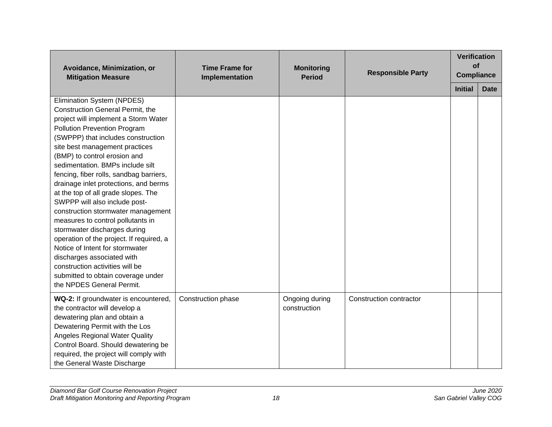| Avoidance, Minimization, or<br><b>Mitigation Measure</b>                                                                                                                                                                                                                                                                                                                                                                                                                                                                                                                                                                                                                                                                                                                            | <b>Time Frame for</b><br>Implementation | <b>Monitoring</b><br><b>Period</b> | <b>Responsible Party</b> | <b>Verification</b><br>of<br><b>Compliance</b> |             |
|-------------------------------------------------------------------------------------------------------------------------------------------------------------------------------------------------------------------------------------------------------------------------------------------------------------------------------------------------------------------------------------------------------------------------------------------------------------------------------------------------------------------------------------------------------------------------------------------------------------------------------------------------------------------------------------------------------------------------------------------------------------------------------------|-----------------------------------------|------------------------------------|--------------------------|------------------------------------------------|-------------|
|                                                                                                                                                                                                                                                                                                                                                                                                                                                                                                                                                                                                                                                                                                                                                                                     |                                         |                                    |                          | <b>Initial</b>                                 | <b>Date</b> |
| Elimination System (NPDES)<br>Construction General Permit, the<br>project will implement a Storm Water<br><b>Pollution Prevention Program</b><br>(SWPPP) that includes construction<br>site best management practices<br>(BMP) to control erosion and<br>sedimentation. BMPs include silt<br>fencing, fiber rolls, sandbag barriers,<br>drainage inlet protections, and berms<br>at the top of all grade slopes. The<br>SWPPP will also include post-<br>construction stormwater management<br>measures to control pollutants in<br>stormwater discharges during<br>operation of the project. If required, a<br>Notice of Intent for stormwater<br>discharges associated with<br>construction activities will be<br>submitted to obtain coverage under<br>the NPDES General Permit. |                                         |                                    |                          |                                                |             |
| WQ-2: If groundwater is encountered,<br>the contractor will develop a<br>dewatering plan and obtain a<br>Dewatering Permit with the Los<br><b>Angeles Regional Water Quality</b><br>Control Board. Should dewatering be<br>required, the project will comply with<br>the General Waste Discharge                                                                                                                                                                                                                                                                                                                                                                                                                                                                                    | Construction phase                      | Ongoing during<br>construction     | Construction contractor  |                                                |             |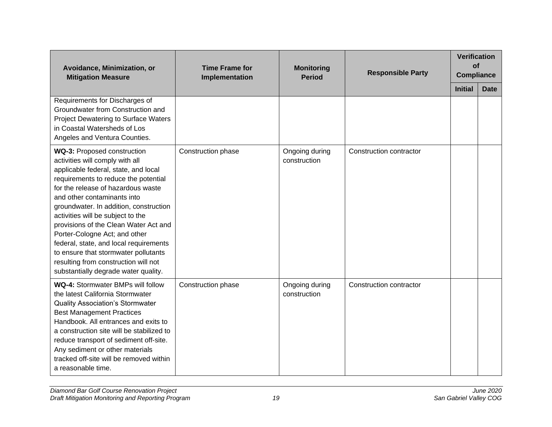| Avoidance, Minimization, or<br><b>Mitigation Measure</b>                                                                                                                                                                                                                                                                                                                                                                                                                                                                                       | <b>Time Frame for</b><br>Implementation | <b>Monitoring</b><br><b>Period</b> | <b>Responsible Party</b> | <b>Verification</b><br>of<br><b>Compliance</b> |             |
|------------------------------------------------------------------------------------------------------------------------------------------------------------------------------------------------------------------------------------------------------------------------------------------------------------------------------------------------------------------------------------------------------------------------------------------------------------------------------------------------------------------------------------------------|-----------------------------------------|------------------------------------|--------------------------|------------------------------------------------|-------------|
| Requirements for Discharges of                                                                                                                                                                                                                                                                                                                                                                                                                                                                                                                 |                                         |                                    |                          | <b>Initial</b>                                 | <b>Date</b> |
| Groundwater from Construction and<br>Project Dewatering to Surface Waters<br>in Coastal Watersheds of Los<br>Angeles and Ventura Counties.                                                                                                                                                                                                                                                                                                                                                                                                     |                                         |                                    |                          |                                                |             |
| WQ-3: Proposed construction<br>activities will comply with all<br>applicable federal, state, and local<br>requirements to reduce the potential<br>for the release of hazardous waste<br>and other contaminants into<br>groundwater. In addition, construction<br>activities will be subject to the<br>provisions of the Clean Water Act and<br>Porter-Cologne Act; and other<br>federal, state, and local requirements<br>to ensure that stormwater pollutants<br>resulting from construction will not<br>substantially degrade water quality. | Construction phase                      | Ongoing during<br>construction     | Construction contractor  |                                                |             |
| <b>WQ-4: Stormwater BMPs will follow</b><br>the latest California Stormwater<br><b>Quality Association's Stormwater</b><br><b>Best Management Practices</b><br>Handbook. All entrances and exits to<br>a construction site will be stabilized to<br>reduce transport of sediment off-site.<br>Any sediment or other materials<br>tracked off-site will be removed within<br>a reasonable time.                                                                                                                                                 | Construction phase                      | Ongoing during<br>construction     | Construction contractor  |                                                |             |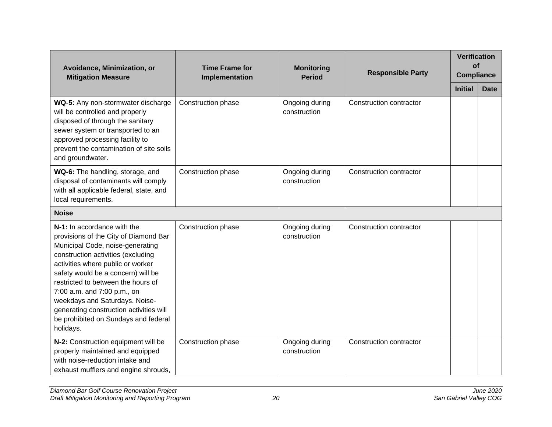| Avoidance, Minimization, or<br><b>Mitigation Measure</b>                                                                                                                                                                                                                                                                                                                                                                         | <b>Time Frame for</b><br>Implementation | <b>Monitoring</b><br><b>Period</b> | <b>Responsible Party</b> |                | <b>Verification</b><br>of<br><b>Compliance</b> |
|----------------------------------------------------------------------------------------------------------------------------------------------------------------------------------------------------------------------------------------------------------------------------------------------------------------------------------------------------------------------------------------------------------------------------------|-----------------------------------------|------------------------------------|--------------------------|----------------|------------------------------------------------|
|                                                                                                                                                                                                                                                                                                                                                                                                                                  |                                         |                                    |                          | <b>Initial</b> | <b>Date</b>                                    |
| WQ-5: Any non-stormwater discharge<br>will be controlled and properly<br>disposed of through the sanitary<br>sewer system or transported to an<br>approved processing facility to<br>prevent the contamination of site soils<br>and groundwater.                                                                                                                                                                                 | Construction phase                      | Ongoing during<br>construction     | Construction contractor  |                |                                                |
| WQ-6: The handling, storage, and<br>disposal of contaminants will comply<br>with all applicable federal, state, and<br>local requirements.                                                                                                                                                                                                                                                                                       | Construction phase                      | Ongoing during<br>construction     | Construction contractor  |                |                                                |
| <b>Noise</b>                                                                                                                                                                                                                                                                                                                                                                                                                     |                                         |                                    |                          |                |                                                |
| N-1: In accordance with the<br>provisions of the City of Diamond Bar<br>Municipal Code, noise-generating<br>construction activities (excluding<br>activities where public or worker<br>safety would be a concern) will be<br>restricted to between the hours of<br>7:00 a.m. and 7:00 p.m., on<br>weekdays and Saturdays. Noise-<br>generating construction activities will<br>be prohibited on Sundays and federal<br>holidays. | Construction phase                      | Ongoing during<br>construction     | Construction contractor  |                |                                                |
| N-2: Construction equipment will be<br>properly maintained and equipped<br>with noise-reduction intake and<br>exhaust mufflers and engine shrouds,                                                                                                                                                                                                                                                                               | Construction phase                      | Ongoing during<br>construction     | Construction contractor  |                |                                                |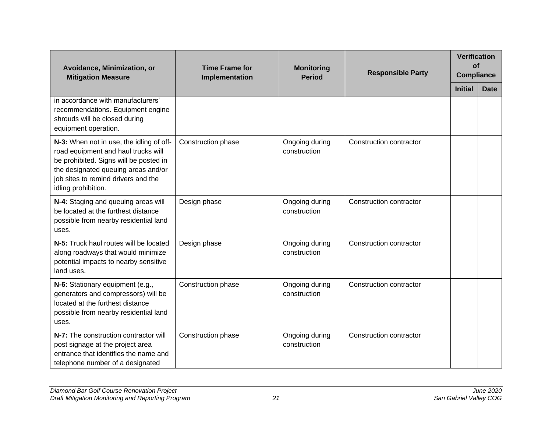| Avoidance, Minimization, or<br><b>Mitigation Measure</b>                                                                                                                                                                       | <b>Time Frame for</b><br>Implementation | <b>Monitoring</b><br><b>Period</b> | <b>Responsible Party</b> | <b>Verification</b><br>of<br><b>Compliance</b> |             |
|--------------------------------------------------------------------------------------------------------------------------------------------------------------------------------------------------------------------------------|-----------------------------------------|------------------------------------|--------------------------|------------------------------------------------|-------------|
|                                                                                                                                                                                                                                |                                         |                                    |                          | <b>Initial</b>                                 | <b>Date</b> |
| in accordance with manufacturers'<br>recommendations. Equipment engine<br>shrouds will be closed during<br>equipment operation.                                                                                                |                                         |                                    |                          |                                                |             |
| N-3: When not in use, the idling of off-<br>road equipment and haul trucks will<br>be prohibited. Signs will be posted in<br>the designated queuing areas and/or<br>job sites to remind drivers and the<br>idling prohibition. | Construction phase                      | Ongoing during<br>construction     | Construction contractor  |                                                |             |
| N-4: Staging and queuing areas will<br>be located at the furthest distance<br>possible from nearby residential land<br>uses.                                                                                                   | Design phase                            | Ongoing during<br>construction     | Construction contractor  |                                                |             |
| N-5: Truck haul routes will be located<br>along roadways that would minimize<br>potential impacts to nearby sensitive<br>land uses.                                                                                            | Design phase                            | Ongoing during<br>construction     | Construction contractor  |                                                |             |
| N-6: Stationary equipment (e.g.,<br>generators and compressors) will be<br>located at the furthest distance<br>possible from nearby residential land<br>uses.                                                                  | Construction phase                      | Ongoing during<br>construction     | Construction contractor  |                                                |             |
| N-7: The construction contractor will<br>post signage at the project area<br>entrance that identifies the name and<br>telephone number of a designated                                                                         | Construction phase                      | Ongoing during<br>construction     | Construction contractor  |                                                |             |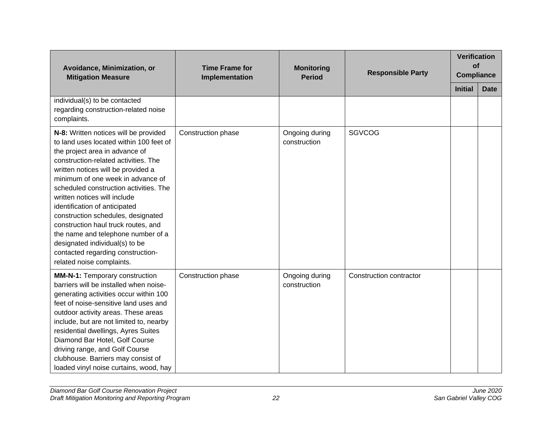| Avoidance, Minimization, or<br><b>Mitigation Measure</b>                                                                                                                                                                                                                                                                                                                                                                                                                                                                                                                | <b>Time Frame for</b><br><b>Monitoring</b><br>Implementation<br><b>Period</b> | <b>Responsible Party</b>       | <b>Verification</b><br>of<br><b>Compliance</b> |                |             |
|-------------------------------------------------------------------------------------------------------------------------------------------------------------------------------------------------------------------------------------------------------------------------------------------------------------------------------------------------------------------------------------------------------------------------------------------------------------------------------------------------------------------------------------------------------------------------|-------------------------------------------------------------------------------|--------------------------------|------------------------------------------------|----------------|-------------|
|                                                                                                                                                                                                                                                                                                                                                                                                                                                                                                                                                                         |                                                                               |                                |                                                | <b>Initial</b> | <b>Date</b> |
| individual(s) to be contacted<br>regarding construction-related noise<br>complaints.                                                                                                                                                                                                                                                                                                                                                                                                                                                                                    |                                                                               |                                |                                                |                |             |
| N-8: Written notices will be provided<br>to land uses located within 100 feet of<br>the project area in advance of<br>construction-related activities. The<br>written notices will be provided a<br>minimum of one week in advance of<br>scheduled construction activities. The<br>written notices will include<br>identification of anticipated<br>construction schedules, designated<br>construction haul truck routes, and<br>the name and telephone number of a<br>designated individual(s) to be<br>contacted regarding construction-<br>related noise complaints. | Construction phase                                                            | Ongoing during<br>construction | <b>SGVCOG</b>                                  |                |             |
| <b>MM-N-1: Temporary construction</b><br>barriers will be installed when noise-<br>generating activities occur within 100<br>feet of noise-sensitive land uses and<br>outdoor activity areas. These areas<br>include, but are not limited to, nearby<br>residential dwellings, Ayres Suites<br>Diamond Bar Hotel, Golf Course<br>driving range, and Golf Course<br>clubhouse. Barriers may consist of<br>loaded vinyl noise curtains, wood, hay                                                                                                                         | Construction phase                                                            | Ongoing during<br>construction | Construction contractor                        |                |             |